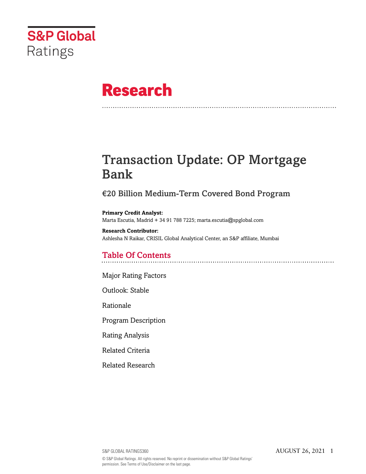

# **Research**

# Transaction Update: OP Mortgage Bank

# €20 Billion Medium-Term Covered Bond Program

## **Primary Credit Analyst:**

Marta Escutia, Madrid + 34 91 788 7225; marta.escutia@spglobal.com

#### **Research Contributor:**

Ashlesha N Raikar, CRISIL Global Analytical Center, an S&P affiliate, Mumbai

# Table Of Contents

[Major Rating Factors](#page-1-0)

[Outlook: Stable](#page-2-0)

[Rationale](#page-2-1)

[Program Description](#page-3-0)

[Rating Analysis](#page-4-0)

[Related Criteria](#page-11-0)

[Related Research](#page-11-1)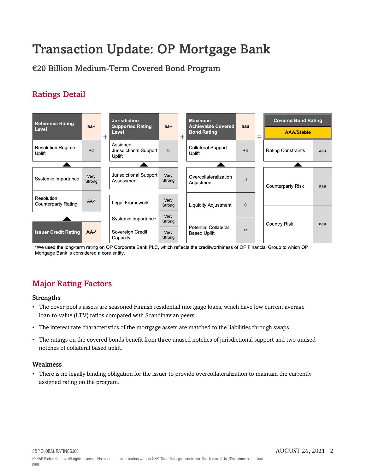# Transaction Update: OP Mortgage Bank

€20 Billion Medium-Term Covered Bond Program

# Ratings Detail



\*We used the long-term rating on OP Corporate Bank PLC, which reflects the creditworthiness of OP Financial Group to which OP Mortgage Bank is considered a core entity.

# <span id="page-1-0"></span>Major Rating Factors

## Strengths

- The cover pool's assets are seasoned Finnish residential mortgage loans, which have low current average loan-to-value (LTV) ratios compared with Scandinavian peers.
- The interest rate characteristics of the mortgage assets are matched to the liabilities through swaps.
- The ratings on the covered bonds benefit from three unused notches of jurisdictional support and two unused notches of collateral based uplift.

## Weakness

• There is no legally binding obligation for the issuer to provide overcollateralization to maintain the currently assigned rating on the program.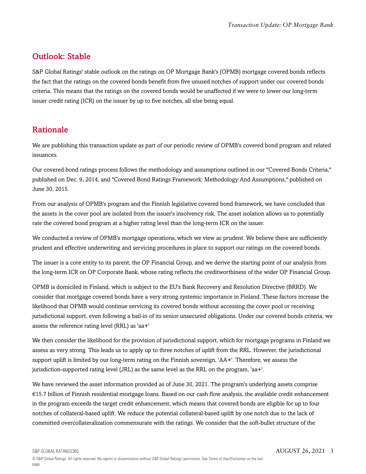# <span id="page-2-0"></span>Outlook: Stable

S&P Global Ratings' stable outlook on the ratings on OP Mortgage Bank's (OPMB) mortgage covered bonds reflects the fact that the ratings on the covered bonds benefit from five unused notches of support under our covered bonds criteria. This means that the ratings on the covered bonds would be unaffected if we were to lower our long-term issuer credit rating (ICR) on the issuer by up to five notches, all else being equal.

# <span id="page-2-1"></span>Rationale

We are publishing this transaction update as part of our periodic review of OPMB's covered bond program and related issuances.

Our covered bond ratings process follows the methodology and assumptions outlined in our "Covered Bonds Criteria," published on Dec. 9, 2014, and "Covered Bond Ratings Framework: Methodology And Assumptions," published on June 30, 2015.

From our analysis of OPMB's program and the Finnish legislative covered bond framework, we have concluded that the assets in the cover pool are isolated from the issuer's insolvency risk. The asset isolation allows us to potentially rate the covered bond program at a higher rating level than the long-term ICR on the issuer.

We conducted a review of OPMB's mortgage operations, which we view as prudent. We believe there are sufficiently prudent and effective underwriting and servicing procedures in place to support our ratings on the covered bonds.

The issuer is a core entity to its parent, the OP Financial Group, and we derive the starting point of our analysis from the long-term ICR on OP Corporate Bank, whose rating reflects the creditworthiness of the wider OP Financial Group.

OPMB is domiciled in Finland, which is subject to the EU's Bank Recovery and Resolution Directive (BRRD). We consider that mortgage covered bonds have a very strong systemic importance in Finland. These factors increase the likelihood that OPMB would continue servicing its covered bonds without accessing the cover pool or receiving jurisdictional support, even following a bail-in of its senior unsecured obligations. Under our covered bonds criteria, we assess the reference rating level (RRL) as 'aa+'

We then consider the likelihood for the provision of jurisdictional support, which for mortgage programs in Finland we assess as very strong. This leads us to apply up to three notches of uplift from the RRL. However, the jurisdictional support uplift is limited by our long-term rating on the Finnish sovereign, 'AA+'. Therefore, we assess the jurisdiction-supported rating level (JRL) as the same level as the RRL on the program, 'aa+'.

We have reviewed the asset information provided as of June 30, 2021. The program's underlying assets comprise €15.7 billion of Finnish residential mortgage loans. Based on our cash flow analysis, the available credit enhancement in the program exceeds the target credit enhancement, which means that covered bonds are eligible for up to four notches of collateral-based uplift. We reduce the potential collateral-based uplift by one notch due to the lack of committed overcollateralization commensurate with the ratings. We consider that the soft-bullet structure of the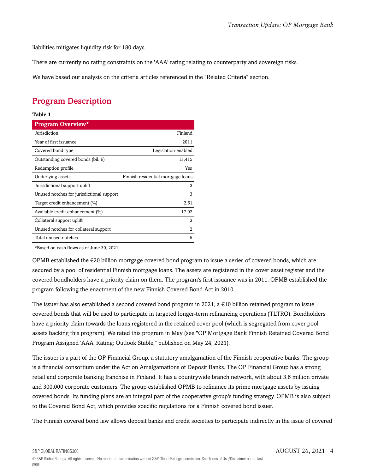liabilities mitigates liquidity risk for 180 days.

There are currently no rating constraints on the 'AAA' rating relating to counterparty and sovereign risks.

<span id="page-3-0"></span>We have based our analysis on the criteria articles referenced in the "Related Criteria" section.

# Program Description

#### **Table 1**

| Program Overview*                            |                                    |
|----------------------------------------------|------------------------------------|
| Jurisdiction                                 | Finland                            |
| Year of first issuance                       | 2011                               |
| Covered bond type                            | Legislation-enabled                |
| Outstanding covered bonds (bil. $\epsilon$ ) | 13,415                             |
| Redemption profile                           | Yes                                |
| Underlying assets                            | Finnish residential mortgage loans |
| Jurisdictional support uplift                | 3                                  |
| Unused notches for jurisdictional support    | 3                                  |
| Target credit enhancement (%)                | 2.61                               |
| Available credit enhancement (%)             | 17.02                              |
| Collateral support uplift                    | 3                                  |
| Unused notches for collateral support        | 2                                  |
| Total unused notches                         | 5                                  |

\*Based on cash flows as of June 30, 2021.

OPMB established the  $\epsilon$ 20 billion mortgage covered bond program to issue a series of covered bonds, which are secured by a pool of residential Finnish mortgage loans. The assets are registered in the cover asset register and the covered bondholders have a priority claim on them. The program's first issuance was in 2011. OPMB established the program following the enactment of the new Finnish Covered Bond Act in 2010.

The issuer has also established a second covered bond program in 2021, a  $\epsilon$ 10 billion retained program to issue covered bonds that will be used to participate in targeted longer-term refinancing operations (TLTRO). Bondholders have a priority claim towards the loans registered in the retained cover pool (which is segregated from cover pool assets backing this program). We rated this program in May (see "OP Mortgage Bank Finnish Retained Covered Bond Program Assigned 'AAA' Rating; Outlook Stable," published on May 24, 2021).

The issuer is a part of the OP Financial Group, a statutory amalgamation of the Finnish cooperative banks. The group is a financial consortium under the Act on Amalgamations of Deposit Banks. The OP Financial Group has a strong retail and corporate banking franchise in Finland. It has a countrywide branch network, with about 3.6 million private and 300,000 corporate customers. The group established OPMB to refinance its prime mortgage assets by issuing covered bonds. Its funding plans are an integral part of the cooperative group's funding strategy. OPMB is also subject to the Covered Bond Act, which provides specific regulations for a Finnish covered bond issuer.

The Finnish covered bond law allows deposit banks and credit societies to participate indirectly in the issue of covered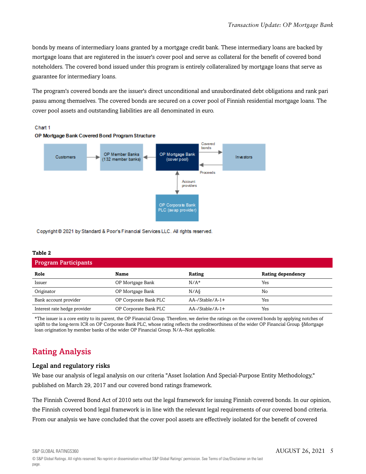bonds by means of intermediary loans granted by a mortgage credit bank. These intermediary loans are backed by mortgage loans that are registered in the issuer's cover pool and serve as collateral for the benefit of covered bond noteholders. The covered bond issued under this program is entirely collateralized by mortgage loans that serve as guarantee for intermediary loans.

The program's covered bonds are the issuer's direct unconditional and unsubordinated debt obligations and rank pari passu among themselves. The covered bonds are secured on a cover pool of Finnish residential mortgage loans. The cover pool assets and outstanding liabilities are all denominated in euro.





Copyright @ 2021 by Standard & Poor's Financial Services LLC. All rights reserved.

#### **Table 2**

| <b>Program Participants</b>  |                       |                        |                   |  |
|------------------------------|-----------------------|------------------------|-------------------|--|
| Role                         | Name                  | Rating                 | Rating dependency |  |
| Issuer                       | OP Mortgage Bank      | $N/A*$                 | Yes               |  |
| Originator                   | OP Mortgage Bank      | $N/A\delta$            | No                |  |
| Bank account provider        | OP Corporate Bank PLC | $AA$ -/Stable/A-1+     | Yes               |  |
| Interest rate hedge provider | OP Corporate Bank PLC | $AA$ -/Stable/ $A$ -1+ | Yes               |  |

\*The issuer is a core entity to its parent, the OP Financial Group. Therefore, we derive the ratings on the covered bonds by applying notches of uplift to the long-term ICR on OP Corporate Bank PLC, whose rating reflects the creditworthiness of the wider OP Financial Group. §Mortgage loan origination by member banks of the wider OP Financial Group. N/A--Not applicable.

# <span id="page-4-0"></span>Rating Analysis

#### Legal and regulatory risks

We base our analysis of legal analysis on our criteria "Asset Isolation And Special-Purpose Entity Methodology," published on March 29, 2017 and our covered bond ratings framework.

The Finnish Covered Bond Act of 2010 sets out the legal framework for issuing Finnish covered bonds. In our opinion, the Finnish covered bond legal framework is in line with the relevant legal requirements of our covered bond criteria. From our analysis we have concluded that the cover pool assets are effectively isolated for the benefit of covered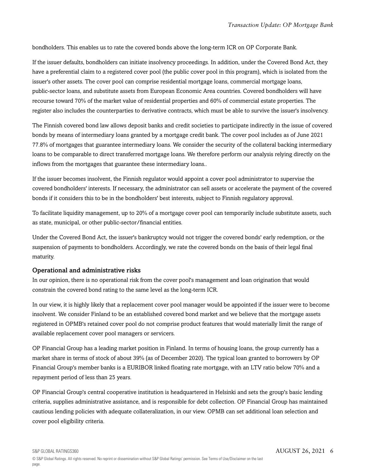bondholders. This enables us to rate the covered bonds above the long-term ICR on OP Corporate Bank.

If the issuer defaults, bondholders can initiate insolvency proceedings. In addition, under the Covered Bond Act, they have a preferential claim to a registered cover pool (the public cover pool in this program), which is isolated from the issuer's other assets. The cover pool can comprise residential mortgage loans, commercial mortgage loans, public-sector loans, and substitute assets from European Economic Area countries. Covered bondholders will have recourse toward 70% of the market value of residential properties and 60% of commercial estate properties. The register also includes the counterparties to derivative contracts, which must be able to survive the issuer's insolvency.

The Finnish covered bond law allows deposit banks and credit societies to participate indirectly in the issue of covered bonds by means of intermediary loans granted by a mortgage credit bank. The cover pool includes as of June 2021 77.8% of mortgages that guarantee intermediary loans. We consider the security of the collateral backing intermediary loans to be comparable to direct transferred mortgage loans. We therefore perform our analysis relying directly on the inflows from the mortgages that guarantee these intermediary loans..

If the issuer becomes insolvent, the Finnish regulator would appoint a cover pool administrator to supervise the covered bondholders' interests. If necessary, the administrator can sell assets or accelerate the payment of the covered bonds if it considers this to be in the bondholders' best interests, subject to Finnish regulatory approval.

To facilitate liquidity management, up to 20% of a mortgage cover pool can temporarily include substitute assets, such as state, municipal, or other public-sector/financial entities.

Under the Covered Bond Act, the issuer's bankruptcy would not trigger the covered bonds' early redemption, or the suspension of payments to bondholders. Accordingly, we rate the covered bonds on the basis of their legal final maturity.

## Operational and administrative risks

In our opinion, there is no operational risk from the cover pool's management and loan origination that would constrain the covered bond rating to the same level as the long-term ICR.

In our view, it is highly likely that a replacement cover pool manager would be appointed if the issuer were to become insolvent. We consider Finland to be an established covered bond market and we believe that the mortgage assets registered in OPMB's retained cover pool do not comprise product features that would materially limit the range of available replacement cover pool managers or servicers.

OP Financial Group has a leading market position in Finland. In terms of housing loans, the group currently has a market share in terms of stock of about 39% (as of December 2020). The typical loan granted to borrowers by OP Financial Group's member banks is a EURIBOR linked floating rate mortgage, with an LTV ratio below 70% and a repayment period of less than 25 years.

OP Financial Group's central cooperative institution is headquartered in Helsinki and sets the group's basic lending criteria, supplies administrative assistance, and is responsible for debt collection. OP Financial Group has maintained cautious lending policies with adequate collateralization, in our view. OPMB can set additional loan selection and cover pool eligibility criteria.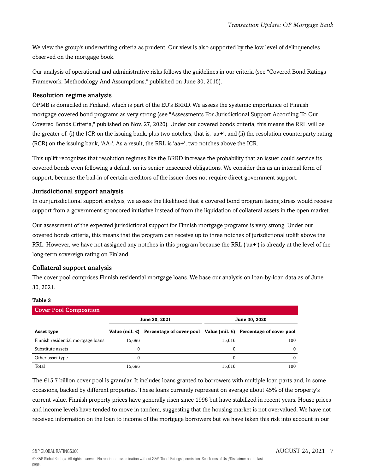We view the group's underwriting criteria as prudent. Our view is also supported by the low level of delinquencies observed on the mortgage book.

Our analysis of operational and administrative risks follows the guidelines in our criteria (see "Covered Bond Ratings Framework: Methodology And Assumptions," published on June 30, 2015).

## Resolution regime analysis

OPMB is domiciled in Finland, which is part of the EU's BRRD. We assess the systemic importance of Finnish mortgage covered bond programs as very strong (see "Assessments For Jurisdictional Support According To Our Covered Bonds Criteria," published on Nov. 27, 2020). Under our covered bonds criteria, this means the RRL will be the greater of: (i) the ICR on the issuing bank, plus two notches, that is, 'aa+'; and (ii) the resolution counterparty rating (RCR) on the issuing bank, 'AA-'. As a result, the RRL is 'aa+', two notches above the ICR.

This uplift recognizes that resolution regimes like the BRRD increase the probability that an issuer could service its covered bonds even following a default on its senior unsecured obligations. We consider this as an internal form of support, because the bail-in of certain creditors of the issuer does not require direct government support.

## Jurisdictional support analysis

In our jurisdictional support analysis, we assess the likelihood that a covered bond program facing stress would receive support from a government-sponsored initiative instead of from the liquidation of collateral assets in the open market.

Our assessment of the expected jurisdictional support for Finnish mortgage programs is very strong. Under our covered bonds criteria, this means that the program can receive up to three notches of jurisdictional uplift above the RRL. However, we have not assigned any notches in this program because the RRL ('aa+') is already at the level of the long-term sovereign rating on Finland.

## Collateral support analysis

The cover pool comprises Finnish residential mortgage loans. We base our analysis on loan-by-loan data as of June 30, 2021.

#### **Table 3**

| <b>Cover Pool Composition</b>      |               |                                                                                       |        |               |
|------------------------------------|---------------|---------------------------------------------------------------------------------------|--------|---------------|
|                                    | June 30, 2021 |                                                                                       |        | June 30, 2020 |
| Asset type                         |               | Value (mil. $€$ ) Percentage of cover pool Value (mil. $€$ ) Percentage of cover pool |        |               |
| Finnish residential mortgage loans | 15.696        |                                                                                       | 15.616 | 100           |
| Substitute assets                  | 0             |                                                                                       | 0      | $\Omega$      |
| Other asset type                   | 0             |                                                                                       | 0      | 0             |
| Total                              | 15.696        |                                                                                       | 15,616 | 100           |

The €15.7 billion cover pool is granular. It includes loans granted to borrowers with multiple loan parts and, in some occasions, backed by different properties. These loans currently represent on average about 45% of the property's current value. Finnish property prices have generally risen since 1996 but have stabilized in recent years. House prices and income levels have tended to move in tandem, suggesting that the housing market is not overvalued. We have not received information on the loan to income of the mortgage borrowers but we have taken this risk into account in our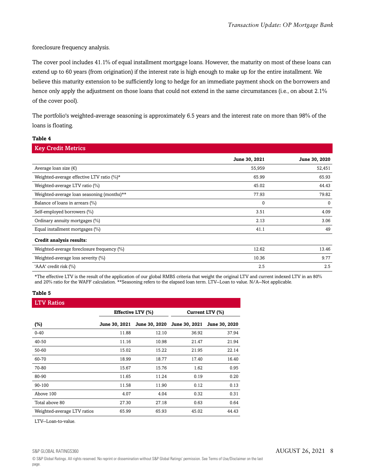foreclosure frequency analysis.

The cover pool includes 41.1% of equal installment mortgage loans. However, the maturity on most of these loans can extend up to 60 years (from origination) if the interest rate is high enough to make up for the entire installment. We believe this maturity extension to be sufficiently long to hedge for an immediate payment shock on the borrowers and hence only apply the adjustment on those loans that could not extend in the same circumstances (i.e., on about 2.1% of the cover pool).

The portfolio's weighted-average seasoning is approximately 6.5 years and the interest rate on more than 98% of the loans is floating.

| <b>Key Credit Metrics</b>                     |               |               |
|-----------------------------------------------|---------------|---------------|
|                                               | June 30, 2021 | June 30, 2020 |
| Average loan size $(\epsilon)$                | 55,959        | 52,451        |
| Weighted-average effective LTV ratio $(\%)^*$ | 65.99         | 65.93         |
| Weighted-average LTV ratio (%)                | 45.02         | 44.43         |
| Weighted-average loan seasoning (months)**    | 77.93         | 79.82         |
| Balance of loans in arrears (%)               | $\mathbf{0}$  | $\mathbf{0}$  |
| Self-employed borrowers (%)                   | 3.51          | 4.09          |
| Ordinary annuity mortgages (%)                | 2.13          | 3.06          |
| Equal installment mortgages (%)               | 41.1          | 49            |
| Credit analysis results:                      |               |               |
| Weighted-average foreclosure frequency (%)    | 12.62         | 13.46         |
| Weighted-average loss severity (%)            | 10.36         | 9.77          |
| 'AAA' credit risk (%)                         | 2.5           | 2.5           |

\*The effective LTV is the result of the application of our global RMBS criteria that weight the original LTV and current indexed LTV in an 80% and 20% ratio for the WAFF calculation. \*\*Seasoning refers to the elapsed loan term. LTV--Loan to value. N/A--Not applicable.

#### **Table 5**

**Table 4**

| <b>LTV Ratios</b>           |                          |               |                      |                 |
|-----------------------------|--------------------------|---------------|----------------------|-----------------|
|                             | <b>Effective LTV (%)</b> |               |                      | Current LTV (%) |
| $(\%)$                      | <b>June 30, 2021</b>     | June 30, 2020 | <b>June 30, 2021</b> | June 30, 2020   |
| $0 - 40$                    | 11.88                    | 12.10         | 36.92                | 37.94           |
| 40-50                       | 11.16                    | 10.98         | 21.47                | 21.94           |
| 50-60                       | 15.02                    | 15.22         | 21.95                | 22.14           |
| 60-70                       | 18.99                    | 18.77         | 17.40                | 16.40           |
| 70-80                       | 15.67                    | 15.76         | 1.62                 | 0.95            |
| 80-90                       | 11.65                    | 11.24         | 0.19                 | 0.20            |
| 90-100                      | 11.58                    | 11.90         | 0.12                 | 0.13            |
| Above 100                   | 4.07                     | 4.04          | 0.32                 | 0.31            |
| Total above 80              | 27.30                    | 27.18         | 0.63                 | 0.64            |
| Weighted-average LTV ratios | 65.99                    | 65.93         | 45.02                | 44.43           |

LTV--Loan-to-value.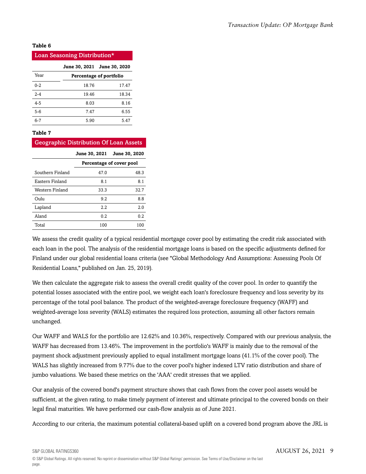#### **Table 6**

| Loan Seasoning Distribution* |       |                             |  |
|------------------------------|-------|-----------------------------|--|
|                              |       | June 30, 2021 June 30, 2020 |  |
| Year                         |       | Percentage of portfolio     |  |
| $0 - 2$                      | 18.76 | 17.47                       |  |
| $2 - 4$                      | 19.46 | 18.34                       |  |
| $4 - 5$                      | 8.03  | 8.16                        |  |
| $5 - 6$                      | 7.47  | 6.55                        |  |
| $6 - 7$                      | 5.90  | 5.47                        |  |

#### **Table 7**

## Geographic Distribution Of Loan Assets

|                  | <b>June 30, 2021</b>     | June 30, 2020 |  |
|------------------|--------------------------|---------------|--|
|                  | Percentage of cover pool |               |  |
| Southern Finland | 47.0                     | 48.3          |  |
| Eastern Finland  | 8.1                      | 8.1           |  |
| Western Finland  | 33.3                     | 32.7          |  |
| Oulu             | 9.2                      | 8.8           |  |
| Lapland          | 2.2                      | 2.0           |  |
| Aland            | 0.2                      | 0.2           |  |
| Total            | 100                      | 100           |  |

We assess the credit quality of a typical residential mortgage cover pool by estimating the credit risk associated with each loan in the pool. The analysis of the residential mortgage loans is based on the specific adjustments defined for Finland under our global residential loans criteria (see "Global Methodology And Assumptions: Assessing Pools Of Residential Loans," published on Jan. 25, 2019).

We then calculate the aggregate risk to assess the overall credit quality of the cover pool. In order to quantify the potential losses associated with the entire pool, we weight each loan's foreclosure frequency and loss severity by its percentage of the total pool balance. The product of the weighted-average foreclosure frequency (WAFF) and weighted-average loss severity (WALS) estimates the required loss protection, assuming all other factors remain unchanged.

Our WAFF and WALS for the portfolio are 12.62% and 10.36%, respectively. Compared with our previous analysis, the WAFF has decreased from 13.46%. The improvement in the portfolio's WAFF is mainly due to the removal of the payment shock adjustment previously applied to equal installment mortgage loans (41.1% of the cover pool). The WALS has slightly increased from 9.77% due to the cover pool's higher indexed LTV ratio distribution and share of jumbo valuations. We based these metrics on the 'AAA' credit stresses that we applied.

Our analysis of the covered bond's payment structure shows that cash flows from the cover pool assets would be sufficient, at the given rating, to make timely payment of interest and ultimate principal to the covered bonds on their legal final maturities. We have performed our cash-flow analysis as of June 2021.

According to our criteria, the maximum potential collateral-based uplift on a covered bond program above the JRL is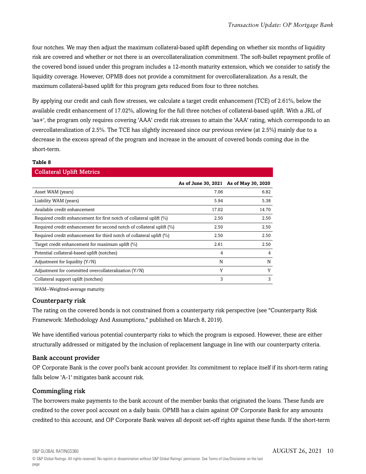four notches. We may then adjust the maximum collateral-based uplift depending on whether six months of liquidity risk are covered and whether or not there is an overcollateralization commitment. The soft-bullet repayment profile of the covered bond issued under this program includes a 12-month maturity extension, which we consider to satisfy the liquidity coverage. However, OPMB does not provide a commitment for overcollateralization. As a result, the maximum collateral-based uplift for this program gets reduced from four to three notches.

By applying our credit and cash flow stresses, we calculate a target credit enhancement (TCE) of 2.61%, below the available credit enhancement of 17.02%, allowing for the full three notches of collateral-based uplift. With a JRL of 'aa+', the program only requires covering 'AAA' credit risk stresses to attain the 'AAA' rating, which corresponds to an overcollateralization of 2.5%. The TCE has slightly increased since our previous review (at 2.5%) mainly due to a decrease in the excess spread of the program and increase in the amount of covered bonds coming due in the short-term.

#### **Table 8**

#### Collateral Uplift Metrics

|                                                                          | As of June 30, 2021 As of May 30, 2020 |       |
|--------------------------------------------------------------------------|----------------------------------------|-------|
| Asset WAM (years)                                                        | 7.06                                   | 6.82  |
| Liability WAM (years)                                                    | 5.94                                   | 5.38  |
| Available credit enhancement                                             | 17.02                                  | 14.70 |
| Required credit enhancement for first notch of collateral uplift (%)     | 2.50                                   | 2.50  |
| Required credit enhancement for second notch of collateral uplift $(\%)$ | 2.50                                   | 2.50  |
| Required credit enhancement for third notch of collateral uplift (%)     | 2.50                                   | 2.50  |
| Target credit enhancement for maximum uplift (%)                         | 2.61                                   | 2.50  |
| Potential collateral-based uplift (notches)                              | 4                                      | 4     |
| Adjustment for liquidity (Y/N)                                           | N                                      | N     |
| Adjustment for committed overcollateralization (Y/N)                     | Y                                      | Y     |
| Collateral support uplift (notches)                                      | 3                                      | 3     |

WAM--Weighted-average maturity.

## Counterparty risk

The rating on the covered bonds is not constrained from a counterparty risk perspective (see "Counterparty Risk Framework: Methodology And Assumptions," published on March 8, 2019).

We have identified various potential counterparty risks to which the program is exposed. However, these are either structurally addressed or mitigated by the inclusion of replacement language in line with our counterparty criteria.

## Bank account provider

OP Corporate Bank is the cover pool's bank account provider. Its commitment to replace itself if its short-term rating falls below 'A-1' mitigates bank account risk.

## Commingling risk

The borrowers make payments to the bank account of the member banks that originated the loans. These funds are credited to the cover pool account on a daily basis. OPMB has a claim against OP Corporate Bank for any amounts credited to this account, and OP Corporate Bank waives all deposit set-off rights against these funds. If the short-term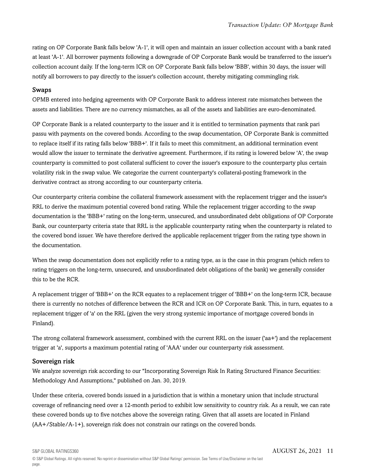rating on OP Corporate Bank falls below 'A-1', it will open and maintain an issuer collection account with a bank rated at least 'A-1'. All borrower payments following a downgrade of OP Corporate Bank would be transferred to the issuer's collection account daily. If the long-term ICR on OP Corporate Bank falls below 'BBB', within 30 days, the issuer will notify all borrowers to pay directly to the issuer's collection account, thereby mitigating commingling risk.

#### Swaps

OPMB entered into hedging agreements with OP Corporate Bank to address interest rate mismatches between the assets and liabilities. There are no currency mismatches, as all of the assets and liabilities are euro-denominated.

OP Corporate Bank is a related counterparty to the issuer and it is entitled to termination payments that rank pari passu with payments on the covered bonds. According to the swap documentation, OP Corporate Bank is committed to replace itself if its rating falls below 'BBB+'. If it fails to meet this commitment, an additional termination event would allow the issuer to terminate the derivative agreement. Furthermore, if its rating is lowered below 'A', the swap counterparty is committed to post collateral sufficient to cover the issuer's exposure to the counterparty plus certain volatility risk in the swap value. We categorize the current counterparty's collateral-posting framework in the derivative contract as strong according to our counterparty criteria.

Our counterparty criteria combine the collateral framework assessment with the replacement trigger and the issuer's RRL to derive the maximum potential covered bond rating. While the replacement trigger according to the swap documentation is the 'BBB+' rating on the long-term, unsecured, and unsubordinated debt obligations of OP Corporate Bank, our counterparty criteria state that RRL is the applicable counterparty rating when the counterparty is related to the covered bond issuer. We have therefore derived the applicable replacement trigger from the rating type shown in the documentation.

When the swap documentation does not explicitly refer to a rating type, as is the case in this program (which refers to rating triggers on the long-term, unsecured, and unsubordinated debt obligations of the bank) we generally consider this to be the RCR.

A replacement trigger of 'BBB+' on the RCR equates to a replacement trigger of 'BBB+' on the long-term ICR, because there is currently no notches of difference between the RCR and ICR on OP Corporate Bank. This, in turn, equates to a replacement trigger of 'a' on the RRL (given the very strong systemic importance of mortgage covered bonds in Finland).

The strong collateral framework assessment, combined with the current RRL on the issuer ('aa+') and the replacement trigger at 'a', supports a maximum potential rating of 'AAA' under our counterparty risk assessment.

## Sovereign risk

We analyze sovereign risk according to our "Incorporating Sovereign Risk In Rating Structured Finance Securities: Methodology And Assumptions," published on Jan. 30, 2019.

Under these criteria, covered bonds issued in a jurisdiction that is within a monetary union that include structural coverage of refinancing need over a 12-month period to exhibit low sensitivity to country risk. As a result, we can rate these covered bonds up to five notches above the sovereign rating. Given that all assets are located in Finland (AA+/Stable/A-1+), sovereign risk does not constrain our ratings on the covered bonds.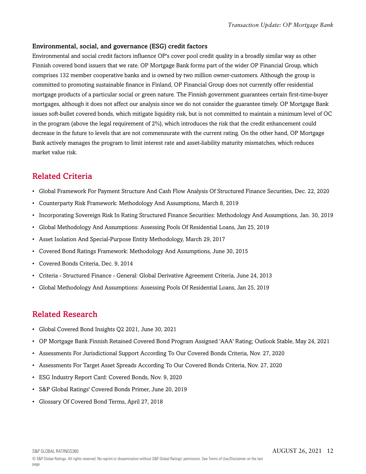## Environmental, social, and governance (ESG) credit factors

Environmental and social credit factors influence OP's cover pool credit quality in a broadly similar way as other Finnish covered bond issuers that we rate. OP Mortgage Bank forms part of the wider OP Financial Group, which comprises 132 member cooperative banks and is owned by two million owner-customers. Although the group is committed to promoting sustainable finance in Finland, OP Financial Group does not currently offer residential mortgage products of a particular social or green nature. The Finnish government guarantees certain first-time-buyer mortgages, although it does not affect our analysis since we do not consider the guarantee timely. OP Mortgage Bank issues soft-bullet covered bonds, which mitigate liquidity risk, but is not committed to maintain a minimum level of OC in the program (above the legal requirement of 2%), which introduces the risk that the credit enhancement could decrease in the future to levels that are not commensurate with the current rating. On the other hand, OP Mortgage Bank actively manages the program to limit interest rate and asset-liability maturity mismatches, which reduces market value risk.

## <span id="page-11-0"></span>Related Criteria

- Global Framework For Payment Structure And Cash Flow Analysis Of Structured Finance Securities, Dec. 22, 2020
- Counterparty Risk Framework: Methodology And Assumptions, March 8, 2019
- Incorporating Sovereign Risk In Rating Structured Finance Securities: Methodology And Assumptions, Jan. 30, 2019
- Global Methodology And Assumptions: Assessing Pools Of Residential Loans, Jan 25, 2019
- Asset Isolation And Special-Purpose Entity Methodology, March 29, 2017
- Covered Bond Ratings Framework: Methodology And Assumptions, June 30, 2015
- Covered Bonds Criteria, Dec. 9, 2014
- Criteria Structured Finance General: Global Derivative Agreement Criteria, June 24, 2013
- Global Methodology And Assumptions: Assessing Pools Of Residential Loans, Jan 25, 2019

## <span id="page-11-1"></span>Related Research

- Global Covered Bond Insights Q2 2021, June 30, 2021
- OP Mortgage Bank Finnish Retained Covered Bond Program Assigned 'AAA' Rating; Outlook Stable, May 24, 2021
- Assessments For Jurisdictional Support According To Our Covered Bonds Criteria, Nov. 27, 2020
- Assessments For Target Asset Spreads According To Our Covered Bonds Criteria, Nov. 27, 2020
- ESG Industry Report Card: Covered Bonds, Nov. 9, 2020
- S&P Global Ratings' Covered Bonds Primer, June 20, 2019
- Glossary Of Covered Bond Terms, April 27, 2018